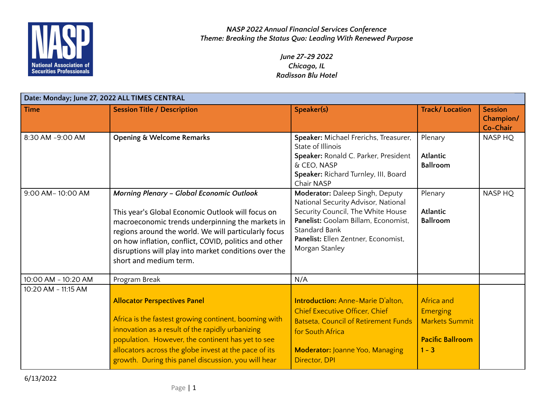

> *June 27-29 2022 Chicago, IL Radisson Blu Hotel*

| Date: Monday; June 27, 2022 ALL TIMES CENTRAL |                                                                                                                                                                                                                                                                                                                                                               |                                                                                                                                                                                                                              |                                                                                                     |                                         |
|-----------------------------------------------|---------------------------------------------------------------------------------------------------------------------------------------------------------------------------------------------------------------------------------------------------------------------------------------------------------------------------------------------------------------|------------------------------------------------------------------------------------------------------------------------------------------------------------------------------------------------------------------------------|-----------------------------------------------------------------------------------------------------|-----------------------------------------|
| <b>Time</b>                                   | <b>Session Title / Description</b>                                                                                                                                                                                                                                                                                                                            | Speaker(s)                                                                                                                                                                                                                   | <b>Track/Location</b>                                                                               | <b>Session</b><br>Champion/<br>Co-Chair |
| 8:30 AM -9:00 AM                              | <b>Opening &amp; Welcome Remarks</b>                                                                                                                                                                                                                                                                                                                          | Speaker: Michael Frerichs, Treasurer,<br>State of Illinois<br>Speaker: Ronald C. Parker, President<br>& CEO, NASP<br>Speaker: Richard Turnley, III, Board<br>Chair NASP                                                      | Plenary<br><b>Atlantic</b><br><b>Ballroom</b>                                                       | NASP HQ                                 |
| 9:00 AM-10:00 AM                              | <b>Morning Plenary - Global Economic Outlook</b><br>This year's Global Economic Outlook will focus on<br>macroeconomic trends underpinning the markets in<br>regions around the world. We will particularly focus<br>on how inflation, conflict, COVID, politics and other<br>disruptions will play into market conditions over the<br>short and medium term. | Moderator: Daleep Singh, Deputy<br>National Security Advisor, National<br>Security Council, The White House<br>Panelist: Goolam Billam, Economist,<br>Standard Bank<br>Panelist: Ellen Zentner, Economist,<br>Morgan Stanley | Plenary<br><b>Atlantic</b><br><b>Ballroom</b>                                                       | NASP HQ                                 |
| 10:00 AM - 10:20 AM                           | Program Break                                                                                                                                                                                                                                                                                                                                                 | N/A                                                                                                                                                                                                                          |                                                                                                     |                                         |
| 10:20 AM - 11:15 AM                           | <b>Allocator Perspectives Panel</b><br>Africa is the fastest growing continent, booming with<br>innovation as a result of the rapidly urbanizing<br>population. However, the continent has yet to see<br>allocators across the globe invest at the pace of its<br>growth. During this panel discussion, you will hear                                         | <b>Introduction: Anne-Marie D'alton.</b><br><b>Chief Executive Officer, Chief</b><br><b>Batseta, Council of Retirement Funds</b><br>for South Africa<br><b>Moderator: Joanne Yoo, Managing</b><br>Director, DPI              | <b>Africa and</b><br><b>Emerging</b><br><b>Markets Summit</b><br><b>Pacific Ballroom</b><br>$1 - 3$ |                                         |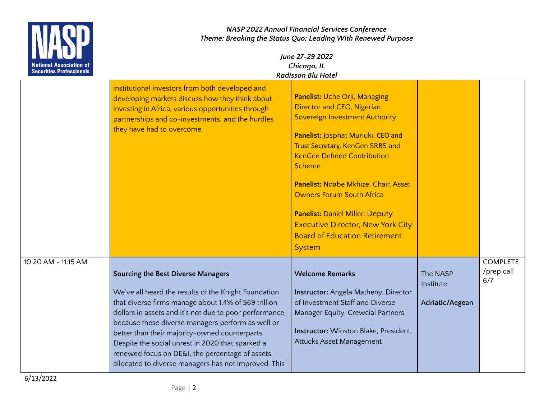| <b>Securities Professionals</b> |                                                                                                                                                                                                                                                                                                                                                                                                                                                                                      | NASP 2022 Annual Financial Services Conference<br>Theme: Breaking the Status Quo: Leading With Renewed Purpose<br>June 27-29 2022<br>Chicago, IL<br><b>Radisson Blu Hotel</b>                                                                                                                                                                                                                                                                      |                                          |                                      |
|---------------------------------|--------------------------------------------------------------------------------------------------------------------------------------------------------------------------------------------------------------------------------------------------------------------------------------------------------------------------------------------------------------------------------------------------------------------------------------------------------------------------------------|----------------------------------------------------------------------------------------------------------------------------------------------------------------------------------------------------------------------------------------------------------------------------------------------------------------------------------------------------------------------------------------------------------------------------------------------------|------------------------------------------|--------------------------------------|
|                                 | institutional investors from both developed and<br>developing markets discuss how they think about<br>investing in Africa, various opportunities through<br>partnerships and co-investments, and the hurdles<br>they have had to overcome.                                                                                                                                                                                                                                           | Panelist: Uche Orji, Managing<br>Director and CEO, Nigerian<br>Sovereign Investment Authority<br>Panelist: Josphat Muriuki, CEO and<br>Trust Secretary, KenGen SRBS and<br><b>KenGen Defined Contribution</b><br><b>Scheme</b><br>Panelist: Ndabe Mkhize, Chair, Asset<br><b>Owners Forum South Africa</b><br><b>Panelist: Daniel Miller, Deputy</b><br><b>Executive Director, New York City</b><br><b>Board of Education Retirement</b><br>System |                                          |                                      |
| 10:20 AM - 11:15 AM             | Sourcing the Best Diverse Managers<br>We've all heard the results of the Knight Foundation<br>that diverse firms manage about 1.4% of \$69 trillion<br>dollars in assets and it's not due to poor performance,<br>because these diverse managers perform as well or<br>better than their majority-owned counterparts.<br>Despite the social unrest in 2020 that sparked a<br>renewed focus on DE&I, the percentage of assets<br>allocated to diverse managers has not improved. This | <b>Welcome Remarks</b><br>Instructor: Angela Matheny, Director<br>of Investment Staff and Diverse<br>Manager Equity, Crewcial Partners<br><b>Instructor:</b> Winston Blake, President,<br>Attucks Asset Management                                                                                                                                                                                                                                 | The NASP<br>Institute<br>Adriatic/Aegean | <b>COMPLETE</b><br>/prep call<br>6/7 |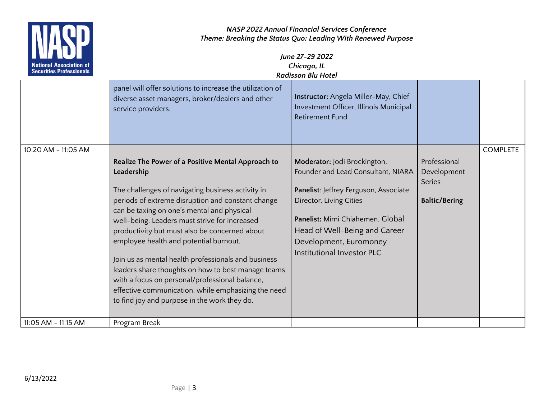

|                     | panel will offer solutions to increase the utilization of<br>diverse asset managers, broker/dealers and other<br>service providers. | Instructor: Angela Miller-May, Chief<br>Investment Officer, Illinois Municipal<br><b>Retirement Fund</b> |                      |                 |
|---------------------|-------------------------------------------------------------------------------------------------------------------------------------|----------------------------------------------------------------------------------------------------------|----------------------|-----------------|
| 10:20 AM - 11:05 AM |                                                                                                                                     |                                                                                                          |                      | <b>COMPLETE</b> |
|                     | Realize The Power of a Positive Mental Approach to                                                                                  | Moderator: Jodi Brockington,                                                                             | Professional         |                 |
|                     | Leadership                                                                                                                          | Founder and Lead Consultant, NIARA                                                                       | Development          |                 |
|                     |                                                                                                                                     |                                                                                                          | <b>Series</b>        |                 |
|                     | The challenges of navigating business activity in                                                                                   | Panelist: Jeffrey Ferguson, Associate                                                                    |                      |                 |
|                     | periods of extreme disruption and constant change                                                                                   | Director, Living Cities                                                                                  | <b>Baltic/Bering</b> |                 |
|                     | can be taxing on one's mental and physical                                                                                          |                                                                                                          |                      |                 |
|                     | well-being. Leaders must strive for increased                                                                                       | Panelist: Mimi Chiahemen, Global                                                                         |                      |                 |
|                     | productivity but must also be concerned about                                                                                       | Head of Well-Being and Career                                                                            |                      |                 |
|                     | employee health and potential burnout.                                                                                              | Development, Euromoney                                                                                   |                      |                 |
|                     |                                                                                                                                     | Institutional Investor PLC                                                                               |                      |                 |
|                     | Join us as mental health professionals and business                                                                                 |                                                                                                          |                      |                 |
|                     | leaders share thoughts on how to best manage teams                                                                                  |                                                                                                          |                      |                 |
|                     | with a focus on personal/professional balance,                                                                                      |                                                                                                          |                      |                 |
|                     | effective communication, while emphasizing the need                                                                                 |                                                                                                          |                      |                 |
|                     | to find joy and purpose in the work they do.                                                                                        |                                                                                                          |                      |                 |
|                     |                                                                                                                                     |                                                                                                          |                      |                 |
| 11:05 AM - 11:15 AM | Program Break                                                                                                                       |                                                                                                          |                      |                 |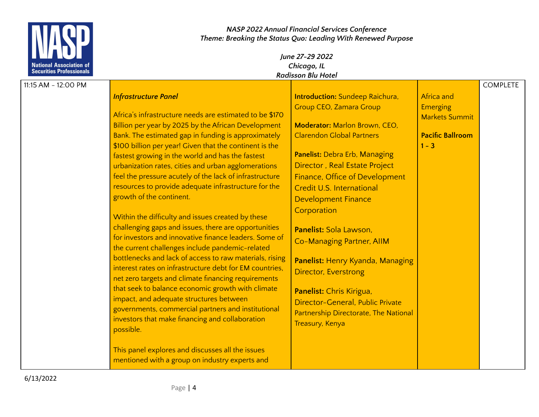

| 11:15 AM - 12:00 PM |                                                         |                                        |                         | <b>COMPLETE</b> |
|---------------------|---------------------------------------------------------|----------------------------------------|-------------------------|-----------------|
|                     | <b>Infrastructure Panel</b>                             | <b>Introduction:</b> Sundeep Raichura, | <b>Africa and</b>       |                 |
|                     |                                                         | <b>Group CEO, Zamara Group</b>         | <b>Emerging</b>         |                 |
|                     | Africa's infrastructure needs are estimated to be \$170 |                                        | <b>Markets Summit</b>   |                 |
|                     | Billion per year by 2025 by the African Development     | Moderator: Marlon Brown, CEO,          |                         |                 |
|                     | Bank. The estimated gap in funding is approximately     | <b>Clarendon Global Partners</b>       | <b>Pacific Ballroom</b> |                 |
|                     | \$100 billion per year! Given that the continent is the |                                        | $1 - 3$                 |                 |
|                     | fastest growing in the world and has the fastest        | Panelist: Debra Erb, Managing          |                         |                 |
|                     | urbanization rates, cities and urban agglomerations     | Director, Real Estate Project          |                         |                 |
|                     | feel the pressure acutely of the lack of infrastructure | Finance, Office of Development         |                         |                 |
|                     | resources to provide adequate infrastructure for the    | Credit U.S. International              |                         |                 |
|                     | growth of the continent.                                | <b>Development Finance</b>             |                         |                 |
|                     |                                                         | Corporation                            |                         |                 |
|                     | Within the difficulty and issues created by these       |                                        |                         |                 |
|                     | challenging gaps and issues, there are opportunities    | Panelist: Sola Lawson,                 |                         |                 |
|                     | for investors and innovative finance leaders. Some of   | Co-Managing Partner, AIIM              |                         |                 |
|                     | the current challenges include pandemic-related         |                                        |                         |                 |
|                     | bottlenecks and lack of access to raw materials, rising | Panelist: Henry Kyanda, Managing       |                         |                 |
|                     | interest rates on infrastructure debt for EM countries, | Director, Everstrong                   |                         |                 |
|                     | net zero targets and climate financing requirements     |                                        |                         |                 |
|                     | that seek to balance economic growth with climate       | Panelist: Chris Kirigua,               |                         |                 |
|                     | impact, and adequate structures between                 | Director-General, Public Private       |                         |                 |
|                     | governments, commercial partners and institutional      | Partnership Directorate, The National  |                         |                 |
|                     | investors that make financing and collaboration         | Treasury, Kenya                        |                         |                 |
|                     | possible.                                               |                                        |                         |                 |
|                     | This panel explores and discusses all the issues        |                                        |                         |                 |
|                     | mentioned with a group on industry experts and          |                                        |                         |                 |
|                     |                                                         |                                        |                         |                 |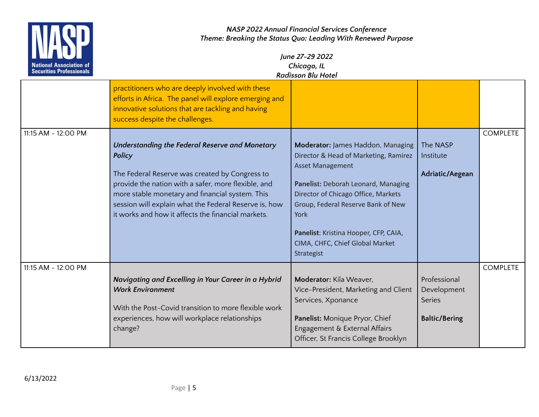

| <b>ENTERNATIONAL</b><br><b>National Association of</b><br><b>Securities Professionals</b> | June 27-29 2022<br>Chicago, IL<br><b>Radisson Blu Hotel</b>                                                                                                                                                                                                                                                                         |                                                                                                                                                                                                                                                                                                                             |                                                                      |                 |
|-------------------------------------------------------------------------------------------|-------------------------------------------------------------------------------------------------------------------------------------------------------------------------------------------------------------------------------------------------------------------------------------------------------------------------------------|-----------------------------------------------------------------------------------------------------------------------------------------------------------------------------------------------------------------------------------------------------------------------------------------------------------------------------|----------------------------------------------------------------------|-----------------|
|                                                                                           | practitioners who are deeply involved with these<br>efforts in Africa. The panel will explore emerging and<br>innovative solutions that are tackling and having<br>success despite the challenges.                                                                                                                                  |                                                                                                                                                                                                                                                                                                                             |                                                                      |                 |
| 11:15 AM - 12:00 PM                                                                       |                                                                                                                                                                                                                                                                                                                                     |                                                                                                                                                                                                                                                                                                                             |                                                                      | <b>COMPLETE</b> |
|                                                                                           | Understanding the Federal Reserve and Monetary<br>Policy<br>The Federal Reserve was created by Congress to<br>provide the nation with a safer, more flexible, and<br>more stable monetary and financial system. This<br>session will explain what the Federal Reserve is, how<br>it works and how it affects the financial markets. | Moderator: James Haddon, Managing<br>Director & Head of Marketing, Ramirez<br><b>Asset Management</b><br>Panelist: Deborah Leonard, Managing<br>Director of Chicago Office, Markets<br>Group, Federal Reserve Bank of New<br>York<br>Panelist: Kristina Hooper, CFP, CAIA,<br>CIMA, CHFC, Chief Global Market<br>Strategist | The NASP<br>Institute<br>Adriatic/Aegean                             |                 |
| 11:15 AM - 12:00 PM                                                                       |                                                                                                                                                                                                                                                                                                                                     |                                                                                                                                                                                                                                                                                                                             |                                                                      | <b>COMPLETE</b> |
|                                                                                           | Navigating and Excelling in Your Career in a Hybrid<br><b>Work Environment</b><br>With the Post-Covid transition to more flexible work<br>experiences, how will workplace relationships                                                                                                                                             | Moderator: Kila Weaver,<br>Vice-President, Marketing and Client<br>Services, Xponance<br>Panelist: Monique Pryor, Chief                                                                                                                                                                                                     | Professional<br>Development<br><b>Series</b><br><b>Baltic/Bering</b> |                 |
|                                                                                           | change?                                                                                                                                                                                                                                                                                                                             | Engagement & External Affairs<br>Officer, St Francis College Brooklyn                                                                                                                                                                                                                                                       |                                                                      |                 |
|                                                                                           |                                                                                                                                                                                                                                                                                                                                     |                                                                                                                                                                                                                                                                                                                             |                                                                      |                 |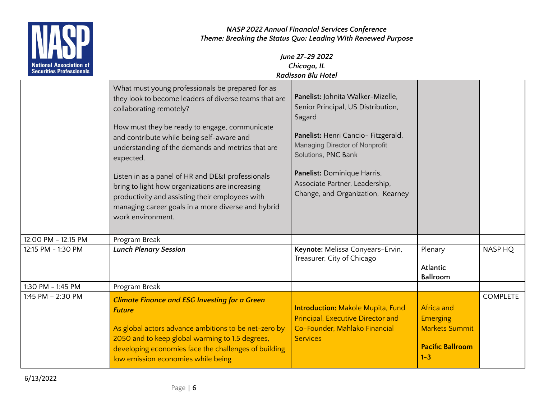

|                     | What must young professionals be prepared for as<br>they look to become leaders of diverse teams that are<br>collaborating remotely?<br>How must they be ready to engage, communicate<br>and contribute while being self-aware and<br>understanding of the demands and metrics that are<br>expected.<br>Listen in as a panel of HR and DE&I professionals<br>bring to light how organizations are increasing<br>productivity and assisting their employees with<br>managing career goals in a more diverse and hybrid<br>work environment. | Panelist: Johnita Walker-Mizelle,<br>Senior Principal, US Distribution,<br>Sagard<br>Panelist: Henri Cancio- Fitzgerald,<br>Managing Director of Nonprofit<br>Solutions, PNC Bank<br>Panelist: Dominique Harris,<br>Associate Partner, Leadership,<br>Change, and Organization, Kearney |                                                                                              |                 |
|---------------------|--------------------------------------------------------------------------------------------------------------------------------------------------------------------------------------------------------------------------------------------------------------------------------------------------------------------------------------------------------------------------------------------------------------------------------------------------------------------------------------------------------------------------------------------|-----------------------------------------------------------------------------------------------------------------------------------------------------------------------------------------------------------------------------------------------------------------------------------------|----------------------------------------------------------------------------------------------|-----------------|
| 12:00 PM - 12:15 PM | Program Break                                                                                                                                                                                                                                                                                                                                                                                                                                                                                                                              |                                                                                                                                                                                                                                                                                         |                                                                                              |                 |
| 12:15 PM - 1:30 PM  | <b>Lunch Plenary Session</b>                                                                                                                                                                                                                                                                                                                                                                                                                                                                                                               | Keynote: Melissa Conyears-Ervin,<br>Treasurer, City of Chicago                                                                                                                                                                                                                          | Plenary<br><b>Atlantic</b><br>Ballroom                                                       | NASP HO         |
| 1:30 PM - 1:45 PM   | Program Break                                                                                                                                                                                                                                                                                                                                                                                                                                                                                                                              |                                                                                                                                                                                                                                                                                         |                                                                                              |                 |
| 1:45 PM - 2:30 PM   | <b>Climate Finance and ESG Investing for a Green</b><br><b>Future</b><br>As global actors advance ambitions to be net-zero by<br>2050 and to keep global warming to 1.5 degrees,<br>developing economies face the challenges of building<br>low emission economies while being                                                                                                                                                                                                                                                             | <b>Introduction: Makole Mupita, Fund</b><br><b>Principal, Executive Director and</b><br>Co-Founder, Mahlako Financial<br><b>Services</b>                                                                                                                                                | Africa and<br><b>Emerging</b><br><b>Markets Summit</b><br><b>Pacific Ballroom</b><br>$1 - 3$ | <b>COMPLETE</b> |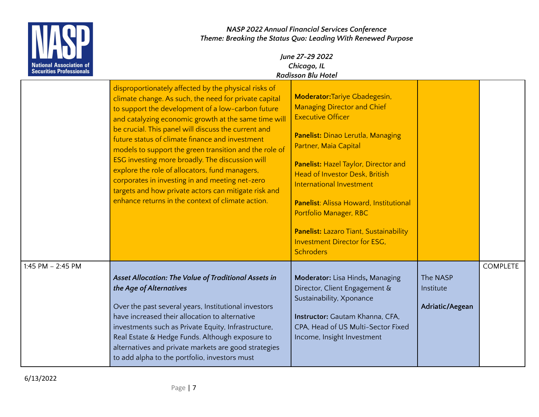

|                     | disproportionately affected by the physical risks of<br>climate change. As such, the need for private capital<br>to support the development of a low-carbon future<br>and catalyzing economic growth at the same time will<br>be crucial. This panel will discuss the current and<br>future status of climate finance and investment<br>models to support the green transition and the role of<br>ESG investing more broadly. The discussion will<br>explore the role of allocators, fund managers,<br>corporates in investing in and meeting net-zero<br>targets and how private actors can mitigate risk and<br>enhance returns in the context of climate action. | <b>Moderator: Tariye Gbadegesin,</b><br><b>Managing Director and Chief</b><br><b>Executive Officer</b><br>Panelist: Dinao Lerutla, Managing<br>Partner, Maia Capital<br>Panelist: Hazel Taylor, Director and<br><b>Head of Investor Desk, British</b><br><b>International Investment</b><br>Panelist: Alissa Howard, Institutional<br>Portfolio Manager, RBC<br>Panelist: Lazaro Tiant, Sustainability<br><b>Investment Director for ESG.</b><br><b>Schroders</b> |                                          |                 |
|---------------------|---------------------------------------------------------------------------------------------------------------------------------------------------------------------------------------------------------------------------------------------------------------------------------------------------------------------------------------------------------------------------------------------------------------------------------------------------------------------------------------------------------------------------------------------------------------------------------------------------------------------------------------------------------------------|-------------------------------------------------------------------------------------------------------------------------------------------------------------------------------------------------------------------------------------------------------------------------------------------------------------------------------------------------------------------------------------------------------------------------------------------------------------------|------------------------------------------|-----------------|
| 1:45 PM $-$ 2:45 PM | Asset Allocation: The Value of Traditional Assets in<br>the Age of Alternatives<br>Over the past several years, Institutional investors<br>have increased their allocation to alternative<br>investments such as Private Equity, Infrastructure,<br>Real Estate & Hedge Funds. Although exposure to<br>alternatives and private markets are good strategies<br>to add alpha to the portfolio, investors must                                                                                                                                                                                                                                                        | Moderator: Lisa Hinds, Managing<br>Director, Client Engagement &<br>Sustainability, Xponance<br>Instructor: Gautam Khanna, CFA,<br>CPA, Head of US Multi-Sector Fixed<br>Income, Insight Investment                                                                                                                                                                                                                                                               | The NASP<br>Institute<br>Adriatic/Aegean | <b>COMPLETE</b> |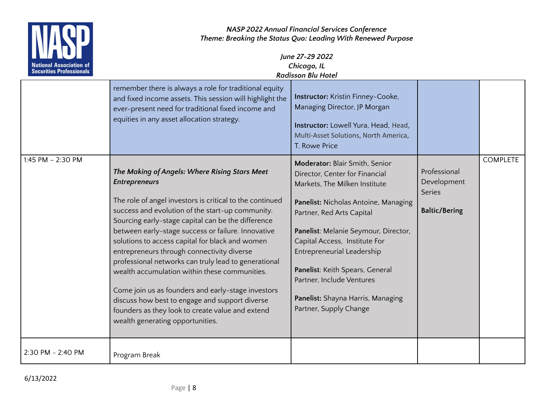

| <b>ENTERNATIONAL</b><br><b>National Association of</b><br><b>Securities Professionals</b> |                                                                                                                                                                                                                                                                                                                                                                                                                                                                                                                                                                                                                                                                                                             | June 27-29 2022<br>Chicago, IL<br><b>Radisson Blu Hotel</b>                                                                                                                                                                                                                                                                                                                                                  |                                                               |                 |
|-------------------------------------------------------------------------------------------|-------------------------------------------------------------------------------------------------------------------------------------------------------------------------------------------------------------------------------------------------------------------------------------------------------------------------------------------------------------------------------------------------------------------------------------------------------------------------------------------------------------------------------------------------------------------------------------------------------------------------------------------------------------------------------------------------------------|--------------------------------------------------------------------------------------------------------------------------------------------------------------------------------------------------------------------------------------------------------------------------------------------------------------------------------------------------------------------------------------------------------------|---------------------------------------------------------------|-----------------|
|                                                                                           | remember there is always a role for traditional equity<br>and fixed income assets. This session will highlight the<br>ever-present need for traditional fixed income and<br>equities in any asset allocation strategy.                                                                                                                                                                                                                                                                                                                                                                                                                                                                                      | Instructor: Kristin Finney-Cooke,<br>Managing Director, JP Morgan<br>Instructor: Lowell Yura, Head, Head,<br>Multi-Asset Solutions, North America,<br>T. Rowe Price                                                                                                                                                                                                                                          |                                                               |                 |
| 1:45 PM - 2:30 PM                                                                         | The Making of Angels: Where Rising Stars Meet<br><b>Entrepreneurs</b><br>The role of angel investors is critical to the continued<br>success and evolution of the start-up community.<br>Sourcing early-stage capital can be the difference<br>between early-stage success or failure. Innovative<br>solutions to access capital for black and women<br>entrepreneurs through connectivity diverse<br>professional networks can truly lead to generational<br>wealth accumulation within these communities.<br>Come join us as founders and early-stage investors<br>discuss how best to engage and support diverse<br>founders as they look to create value and extend<br>wealth generating opportunities. | Moderator: Blair Smith, Senior<br>Director, Center for Financial<br>Markets, The Milken Institute<br>Panelist: Nicholas Antoine, Managing<br>Partner, Red Arts Capital<br>Panelist: Melanie Seymour, Director,<br>Capital Access, Institute For<br>Entrepreneurial Leadership<br>Panelist: Keith Spears, General<br>Partner, Include Ventures<br>Panelist: Shayna Harris, Managing<br>Partner, Supply Change | Professional<br>Development<br>Series<br><b>Baltic/Bering</b> | <b>COMPLETE</b> |
| 2:30 PM - 2:40 PM                                                                         | Program Break                                                                                                                                                                                                                                                                                                                                                                                                                                                                                                                                                                                                                                                                                               |                                                                                                                                                                                                                                                                                                                                                                                                              |                                                               |                 |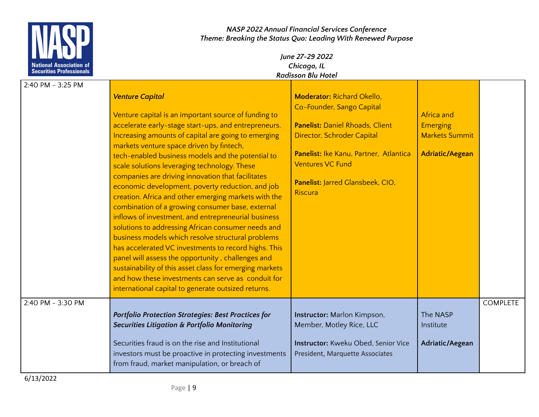

| 2:40 PM - 3:25 PM |                                                            |                                        |                        |                 |
|-------------------|------------------------------------------------------------|----------------------------------------|------------------------|-----------------|
|                   | <b>Venture Capital</b>                                     | <b>Moderator: Richard Okello,</b>      |                        |                 |
|                   |                                                            | Co-Founder, Sango Capital              |                        |                 |
|                   | Venture capital is an important source of funding to       |                                        | Africa and             |                 |
|                   | accelerate early-stage start-ups, and entrepreneurs.       | <b>Panelist: Daniel Rhoads, Client</b> | <b>Emerging</b>        |                 |
|                   | Increasing amounts of capital are going to emerging        | Director, Schroder Capital             | <b>Markets Summit</b>  |                 |
|                   | markets venture space driven by fintech,                   |                                        |                        |                 |
|                   | tech-enabled business models and the potential to          | Panelist: Ike Kanu, Partner, Atlantica | <b>Adriatic/Aegean</b> |                 |
|                   | scale solutions leveraging technology. These               | <b>Ventures VC Fund</b>                |                        |                 |
|                   | companies are driving innovation that facilitates          |                                        |                        |                 |
|                   | economic development, poverty reduction, and job           | Panelist: Jarred Glansbeek, CIO,       |                        |                 |
|                   | creation. Africa and other emerging markets with the       | <b>Riscura</b>                         |                        |                 |
|                   | combination of a growing consumer base, external           |                                        |                        |                 |
|                   | inflows of investment, and entrepreneurial business        |                                        |                        |                 |
|                   | solutions to addressing African consumer needs and         |                                        |                        |                 |
|                   | business models which resolve structural problems          |                                        |                        |                 |
|                   | has accelerated VC investments to record highs. This       |                                        |                        |                 |
|                   | panel will assess the opportunity, challenges and          |                                        |                        |                 |
|                   | sustainability of this asset class for emerging markets    |                                        |                        |                 |
|                   | and how these investments can serve as conduit for         |                                        |                        |                 |
|                   | international capital to generate outsized returns.        |                                        |                        |                 |
| 2:40 PM - 3:30 PM |                                                            |                                        |                        | <b>COMPLETE</b> |
|                   | <b>Portfolio Protection Strategies: Best Practices for</b> | Instructor: Marlon Kimpson,            | The NASP               |                 |
|                   | <b>Securities Litigation &amp; Portfolio Monitoring</b>    | Member, Motley Rice, LLC               | Institute              |                 |
|                   |                                                            |                                        |                        |                 |
|                   | Securities fraud is on the rise and Institutional          | Instructor: Kweku Obed, Senior Vice    | Adriatic/Aegean        |                 |
|                   | investors must be proactive in protecting investments      | President, Marquette Associates        |                        |                 |
|                   | from fraud, market manipulation, or breach of              |                                        |                        |                 |
|                   |                                                            |                                        |                        |                 |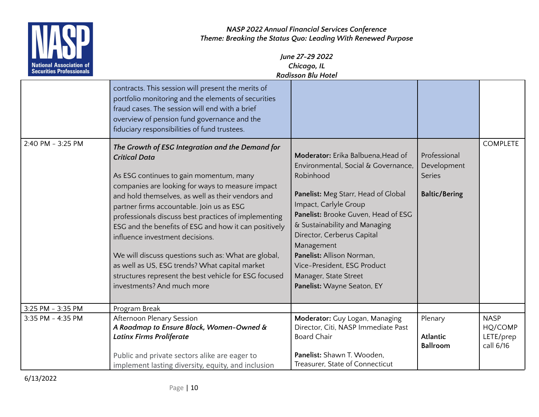

| I LE J<br><b>National Association of</b><br><b>Securities Professionals</b> |                                                                                                                                                                                                                                                                                                                                                                                                                                                                                                                                                                                                                               | June 27-29 2022<br>Chicago, IL<br><b>Radisson Blu Hotel</b>                                                                                                                                                                                                                                                                                                                                   |                                                                      |                                                  |
|-----------------------------------------------------------------------------|-------------------------------------------------------------------------------------------------------------------------------------------------------------------------------------------------------------------------------------------------------------------------------------------------------------------------------------------------------------------------------------------------------------------------------------------------------------------------------------------------------------------------------------------------------------------------------------------------------------------------------|-----------------------------------------------------------------------------------------------------------------------------------------------------------------------------------------------------------------------------------------------------------------------------------------------------------------------------------------------------------------------------------------------|----------------------------------------------------------------------|--------------------------------------------------|
|                                                                             | contracts. This session will present the merits of<br>portfolio monitoring and the elements of securities<br>fraud cases. The session will end with a brief<br>overview of pension fund governance and the<br>fiduciary responsibilities of fund trustees.                                                                                                                                                                                                                                                                                                                                                                    |                                                                                                                                                                                                                                                                                                                                                                                               |                                                                      |                                                  |
| 2:40 PM - 3:25 PM                                                           | The Growth of ESG Integration and the Demand for<br><b>Critical Data</b><br>As ESG continues to gain momentum, many<br>companies are looking for ways to measure impact<br>and hold themselves, as well as their vendors and<br>partner firms accountable. Join us as ESG<br>professionals discuss best practices of implementing<br>ESG and the benefits of ESG and how it can positively<br>influence investment decisions.<br>We will discuss questions such as: What are global,<br>as well as US, ESG trends? What capital market<br>structures represent the best vehicle for ESG focused<br>investments? And much more | Moderator: Erika Balbuena, Head of<br>Environmental, Social & Governance,<br>Robinhood<br>Panelist: Meg Starr, Head of Global<br>Impact, Carlyle Group<br>Panelist: Brooke Guven, Head of ESG<br>& Sustainability and Managing<br>Director, Cerberus Capital<br>Management<br>Panelist: Allison Norman.<br>Vice-President, ESG Product<br>Manager, State Street<br>Panelist: Wayne Seaton, EY | Professional<br>Development<br><b>Series</b><br><b>Baltic/Bering</b> | <b>COMPLETE</b>                                  |
| 3:25 PM - 3:35 PM                                                           | Program Break                                                                                                                                                                                                                                                                                                                                                                                                                                                                                                                                                                                                                 |                                                                                                                                                                                                                                                                                                                                                                                               |                                                                      |                                                  |
| 3:35 PM - 4:35 PM                                                           | Afternoon Plenary Session<br>A Roadmap to Ensure Black, Women-Owned &<br><b>Latinx Firms Proliferate</b><br>Public and private sectors alike are eager to<br>implement lasting diversity, equity, and inclusion                                                                                                                                                                                                                                                                                                                                                                                                               | Moderator: Guy Logan, Managing<br>Director, Citi, NASP Immediate Past<br><b>Board Chair</b><br>Panelist: Shawn T. Wooden,<br>Treasurer, State of Connecticut                                                                                                                                                                                                                                  | Plenary<br><b>Atlantic</b><br><b>Ballroom</b>                        | <b>NASP</b><br>HQ/COMP<br>LETE/prep<br>call 6/16 |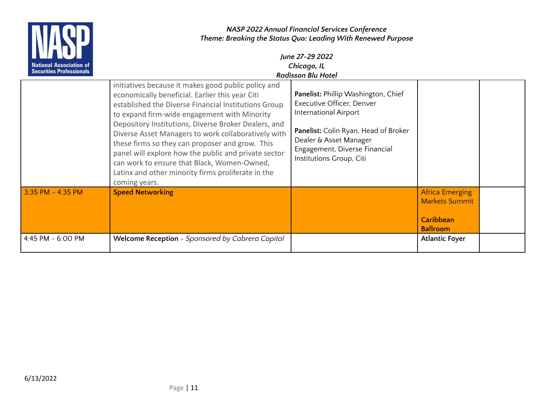

|                     | initiatives because it makes good public policy and<br>economically beneficial. Earlier this year Citi<br>established the Diverse Financial Institutions Group<br>to expand firm-wide engagement with Minority<br>Depository Institutions, Diverse Broker Dealers, and<br>Diverse Asset Managers to work collaboratively with<br>these firms so they can proposer and grow. This<br>panel will explore how the public and private sector<br>can work to ensure that Black, Women-Owned,<br>Latinx and other minority firms proliferate in the<br>coming years. | Panelist: Phillip Washington, Chief<br>Executive Officer, Denver<br><b>International Airport</b><br>Panelist: Colin Ryan, Head of Broker<br>Dealer & Asset Manager<br>Engagement, Diverse Financial<br>Institutions Group, Citi |                                                                                        |  |
|---------------------|----------------------------------------------------------------------------------------------------------------------------------------------------------------------------------------------------------------------------------------------------------------------------------------------------------------------------------------------------------------------------------------------------------------------------------------------------------------------------------------------------------------------------------------------------------------|---------------------------------------------------------------------------------------------------------------------------------------------------------------------------------------------------------------------------------|----------------------------------------------------------------------------------------|--|
| $3:35$ PM - 4:35 PM | <b>Speed Networking</b>                                                                                                                                                                                                                                                                                                                                                                                                                                                                                                                                        |                                                                                                                                                                                                                                 | <b>Africa Emerging</b><br><b>Markets Summit</b><br><b>Caribbean</b><br><b>Ballroom</b> |  |
| 4:45 PM - 6:00 PM   | Welcome Reception - Sponsored by Cabrera Capital                                                                                                                                                                                                                                                                                                                                                                                                                                                                                                               |                                                                                                                                                                                                                                 | <b>Atlantic Foyer</b>                                                                  |  |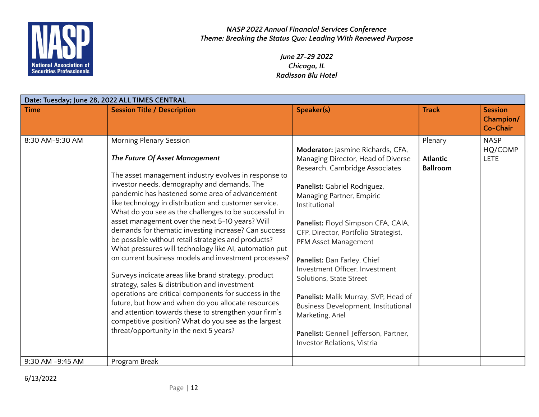

> *June 27-29 2022 Chicago, IL Radisson Blu Hotel*

|                  | Date: Tuesday; June 28, 2022 ALL TIMES CENTRAL                                                                                                                                                                                                                                                                                                                                                                                                                                                                                                                                                                                                                                                                                                                                                                                                                                                                                                                                                                     |                                                                                                                                                                                                                                                                                                                                                                                                                                                                                                                                                                      |                                               |                                         |  |
|------------------|--------------------------------------------------------------------------------------------------------------------------------------------------------------------------------------------------------------------------------------------------------------------------------------------------------------------------------------------------------------------------------------------------------------------------------------------------------------------------------------------------------------------------------------------------------------------------------------------------------------------------------------------------------------------------------------------------------------------------------------------------------------------------------------------------------------------------------------------------------------------------------------------------------------------------------------------------------------------------------------------------------------------|----------------------------------------------------------------------------------------------------------------------------------------------------------------------------------------------------------------------------------------------------------------------------------------------------------------------------------------------------------------------------------------------------------------------------------------------------------------------------------------------------------------------------------------------------------------------|-----------------------------------------------|-----------------------------------------|--|
| <b>Time</b>      | <b>Session Title / Description</b>                                                                                                                                                                                                                                                                                                                                                                                                                                                                                                                                                                                                                                                                                                                                                                                                                                                                                                                                                                                 | Speaker(s)                                                                                                                                                                                                                                                                                                                                                                                                                                                                                                                                                           | <b>Track</b>                                  | <b>Session</b><br>Champion/<br>Co-Chair |  |
| 8:30 AM-9:30 AM  | <b>Morning Plenary Session</b><br>The Future Of Asset Management<br>The asset management industry evolves in response to<br>investor needs, demography and demands. The<br>pandemic has hastened some area of advancement<br>like technology in distribution and customer service.<br>What do you see as the challenges to be successful in<br>asset management over the next 5-10 years? Will<br>demands for thematic investing increase? Can success<br>be possible without retail strategies and products?<br>What pressures will technology like AI, automation put<br>on current business models and investment processes?<br>Surveys indicate areas like brand strategy, product<br>strategy, sales & distribution and investment<br>operations are critical components for success in the<br>future, but how and when do you allocate resources<br>and attention towards these to strengthen your firm's<br>competitive position? What do you see as the largest<br>threat/opportunity in the next 5 years? | Moderator: Jasmine Richards, CFA,<br>Managing Director, Head of Diverse<br>Research, Cambridge Associates<br>Panelist: Gabriel Rodriguez,<br>Managing Partner, Empiric<br>Institutional<br>Panelist: Floyd Simpson CFA, CAIA,<br>CFP, Director, Portfolio Strategist,<br>PFM Asset Management<br>Panelist: Dan Farley, Chief<br>Investment Officer, Investment<br>Solutions, State Street<br>Panelist: Malik Murray, SVP, Head of<br>Business Development, Institutional<br>Marketing, Ariel<br>Panelist: Gennell Jefferson, Partner,<br>Investor Relations, Vistria | Plenary<br><b>Atlantic</b><br><b>Ballroom</b> | <b>NASP</b><br>HQ/COMP<br><b>LETE</b>   |  |
| 9:30 AM -9:45 AM | Program Break                                                                                                                                                                                                                                                                                                                                                                                                                                                                                                                                                                                                                                                                                                                                                                                                                                                                                                                                                                                                      |                                                                                                                                                                                                                                                                                                                                                                                                                                                                                                                                                                      |                                               |                                         |  |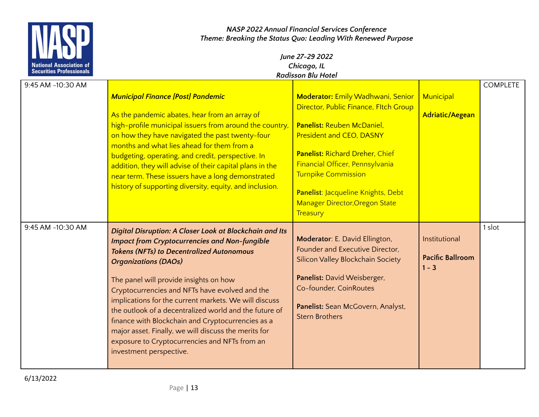

| 9:45 AM -10:30 AM |                                                          |                                                            |                         | <b>COMPLETE</b> |
|-------------------|----------------------------------------------------------|------------------------------------------------------------|-------------------------|-----------------|
|                   | <b>Municipal Finance [Post] Pandemic</b>                 | <b>Moderator: Emily Wadhwani, Senior</b>                   | Municipal               |                 |
|                   |                                                          | Director, Public Finance, Fltch Group                      |                         |                 |
|                   | As the pandemic abates, hear from an array of            |                                                            | <b>Adriatic/Aegean</b>  |                 |
|                   | high-profile municipal issuers from around the country,  | <b>Panelist: Reuben McDaniel,</b>                          |                         |                 |
|                   | on how they have navigated the past twenty-four          | <b>President and CEO, DASNY</b>                            |                         |                 |
|                   | months and what lies ahead for them from a               |                                                            |                         |                 |
|                   | budgeting, operating, and credit, perspective. In        | <b>Panelist: Richard Dreher, Chief</b>                     |                         |                 |
|                   | addition, they will advise of their capital plans in the | Financial Officer, Pennsylvania                            |                         |                 |
|                   | near term. These issuers have a long demonstrated        | <b>Turnpike Commission</b>                                 |                         |                 |
|                   | history of supporting diversity, equity, and inclusion.  | Panelist: Jacqueline Knights, Debt                         |                         |                 |
|                   |                                                          | <b>Manager Director, Oregon State</b>                      |                         |                 |
|                   |                                                          | Treasury                                                   |                         |                 |
|                   |                                                          |                                                            |                         | 1 slot          |
| 9:45 AM -10:30 AM | Digital Disruption: A Closer Look at Blockchain and Its  |                                                            |                         |                 |
|                   | <b>Impact from Cryptocurrencies and Non-fungible</b>     | Moderator: E. David Ellington,                             | Institutional           |                 |
|                   |                                                          |                                                            |                         |                 |
|                   | <b>Tokens (NFTs) to Decentralized Autonomous</b>         | Founder and Executive Director,                            |                         |                 |
|                   | <b>Organizations (DAOs)</b>                              | Silicon Valley Blockchain Society                          | <b>Pacific Ballroom</b> |                 |
|                   |                                                          |                                                            | $1 - 3$                 |                 |
|                   | The panel will provide insights on how                   | Panelist: David Weisberger,                                |                         |                 |
|                   | Cryptocurrencies and NFTs have evolved and the           | Co-founder, CoinRoutes                                     |                         |                 |
|                   | implications for the current markets. We will discuss    |                                                            |                         |                 |
|                   | the outlook of a decentralized world and the future of   | Panelist: Sean McGovern, Analyst,<br><b>Stern Brothers</b> |                         |                 |
|                   | finance with Blockchain and Cryptocurrencies as a        |                                                            |                         |                 |
|                   | major asset. Finally, we will discuss the merits for     |                                                            |                         |                 |
|                   | exposure to Cryptocurrencies and NFTs from an            |                                                            |                         |                 |
|                   | investment perspective.                                  |                                                            |                         |                 |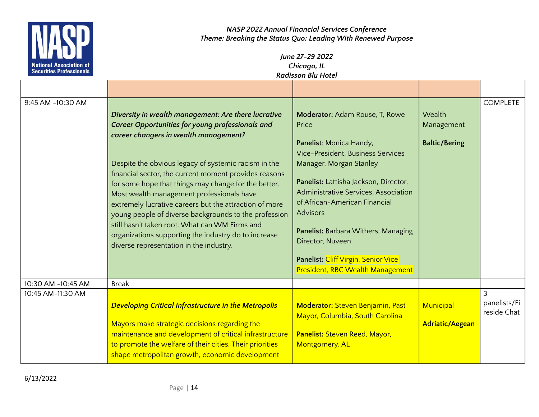

| 9:45 AM -10:30 AM  | Diversity in wealth management: Are there lucrative<br><b>Career Opportunities for young professionals and</b><br>career changers in wealth management?<br>Despite the obvious legacy of systemic racism in the<br>financial sector, the current moment provides reasons<br>for some hope that things may change for the better.<br>Most wealth management professionals have<br>extremely lucrative careers but the attraction of more<br>young people of diverse backgrounds to the profession<br>still hasn't taken root. What can WM Firms and<br>organizations supporting the industry do to increase<br>diverse representation in the industry. | <b>Moderator: Adam Rouse, T, Rowe</b><br>Price<br>Panelist: Monica Handy,<br><b>Vice-President, Business Services</b><br>Manager, Morgan Stanley<br>Panelist: Lattisha Jackson, Director,<br>Administrative Services, Association<br>of African-American Financial<br><b>Advisors</b><br>Panelist: Barbara Withers, Managing<br>Director, Nuveen<br>Panelist: Cliff Virgin, Senior Vice<br>President, RBC Wealth Management | Wealth<br>Management<br><b>Baltic/Bering</b> | <b>COMPLETE</b>                               |
|--------------------|-------------------------------------------------------------------------------------------------------------------------------------------------------------------------------------------------------------------------------------------------------------------------------------------------------------------------------------------------------------------------------------------------------------------------------------------------------------------------------------------------------------------------------------------------------------------------------------------------------------------------------------------------------|-----------------------------------------------------------------------------------------------------------------------------------------------------------------------------------------------------------------------------------------------------------------------------------------------------------------------------------------------------------------------------------------------------------------------------|----------------------------------------------|-----------------------------------------------|
| 10:30 AM -10:45 AM | <b>Break</b>                                                                                                                                                                                                                                                                                                                                                                                                                                                                                                                                                                                                                                          |                                                                                                                                                                                                                                                                                                                                                                                                                             |                                              |                                               |
| 10:45 AM-11:30 AM  | <b>Developing Critical Infrastructure in the Metropolis</b><br>Mayors make strategic decisions regarding the<br>maintenance and development of critical infrastructure<br>to promote the welfare of their cities. Their priorities<br>shape metropolitan growth, economic development                                                                                                                                                                                                                                                                                                                                                                 | <b>Moderator: Steven Benjamin, Past</b><br>Mayor, Columbia, South Carolina<br>Panelist: Steven Reed, Mayor,<br>Montgomery, AL                                                                                                                                                                                                                                                                                               | Municipal<br><b>Adriatic/Aegean</b>          | $\overline{3}$<br>panelists/Fi<br>reside Chat |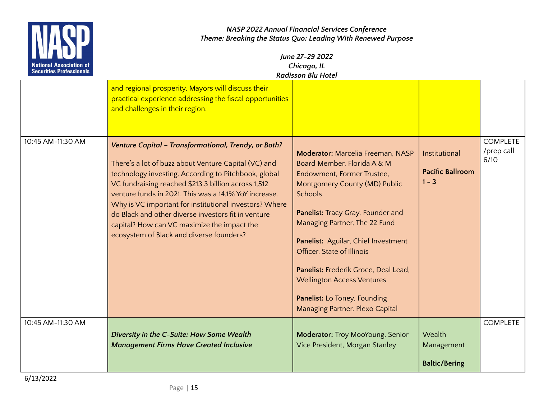

| June 27-29 2022<br>Chicago, IL<br><b>Radisson Blu Hotel</b>                                                                                                          |                                                                                                       |                                          |                         |
|----------------------------------------------------------------------------------------------------------------------------------------------------------------------|-------------------------------------------------------------------------------------------------------|------------------------------------------|-------------------------|
| and regional prosperity. Mayors will discuss their<br>practical experience addressing the fiscal opportunities<br>and challenges in their region.                    |                                                                                                       |                                          |                         |
| Venture Capital - Transformational, Trendy, or Both?<br>There's a lot of buzz about Venture Capital (VC) and<br>technology investing. According to Pitchbook, global | <b>Moderator: Marcelia Freeman, NASP</b><br>Board Member, Florida A & M<br>Endowment, Former Trustee, | Institutional<br><b>Pacific Ballroom</b> | C<br>$\frac{1}{2}$<br>6 |

| 10:45 AM-11:30 AM | Venture Capital - Transformational, Trendy, or Both?<br>There's a lot of buzz about Venture Capital (VC) and<br>technology investing. According to Pitchbook, global<br>VC fundraising reached \$213.3 billion across 1,512<br>venture funds in 2021. This was a 14.1% YoY increase.<br>Why is VC important for institutional investors? Where<br>do Black and other diverse investors fit in venture<br>capital? How can VC maximize the impact the<br>ecosystem of Black and diverse founders? | <b>Moderator: Marcelia Freeman, NASP</b><br>Board Member, Florida A & M<br>Endowment, Former Trustee,<br>Montgomery County (MD) Public<br><b>Schools</b><br>Panelist: Tracy Gray, Founder and<br>Managing Partner, The 22 Fund<br>Panelist: Aguilar, Chief Investment<br>Officer, State of Illinois<br>Panelist: Frederik Groce, Deal Lead,<br><b>Wellington Access Ventures</b><br>Panelist: Lo Toney, Founding<br>Managing Partner, Plexo Capital | Institutional<br><b>Pacific Ballroom</b><br>$1 - 3$ | <b>COMPLETE</b><br>/prep call<br>6/10 |
|-------------------|--------------------------------------------------------------------------------------------------------------------------------------------------------------------------------------------------------------------------------------------------------------------------------------------------------------------------------------------------------------------------------------------------------------------------------------------------------------------------------------------------|-----------------------------------------------------------------------------------------------------------------------------------------------------------------------------------------------------------------------------------------------------------------------------------------------------------------------------------------------------------------------------------------------------------------------------------------------------|-----------------------------------------------------|---------------------------------------|
| 10:45 AM-11:30 AM | Diversity in the C-Suite: How Some Wealth<br><b>Management Firms Have Created Inclusive</b>                                                                                                                                                                                                                                                                                                                                                                                                      | Moderator: Troy MooYoung, Senior<br>Vice President, Morgan Stanley                                                                                                                                                                                                                                                                                                                                                                                  | Wealth<br>Management<br><b>Baltic/Bering</b>        | <b>COMPLETE</b>                       |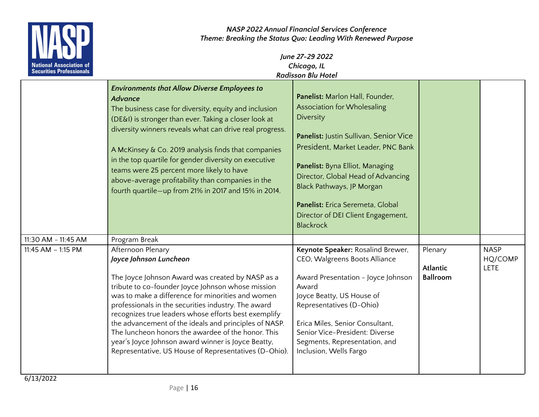

| June 27-29 2022           |  |
|---------------------------|--|
| Chicago, IL               |  |
| <b>Radisson Blu Hotel</b> |  |

|                       | <b>Environments that Allow Diverse Employees to</b><br><b>Advance</b><br>The business case for diversity, equity and inclusion<br>(DE&I) is stronger than ever. Taking a closer look at<br>diversity winners reveals what can drive real progress.<br>A McKinsey & Co. 2019 analysis finds that companies<br>in the top quartile for gender diversity on executive<br>teams were 25 percent more likely to have<br>above-average profitability than companies in the<br>fourth quartile-up from 21% in 2017 and 15% in 2014.                           | Panelist: Marlon Hall, Founder,<br><b>Association for Wholesaling</b><br>Diversity<br>Panelist: Justin Sullivan, Senior Vice<br>President, Market Leader, PNC Bank<br>Panelist: Byna Elliot, Managing<br>Director, Global Head of Advancing<br>Black Pathways, JP Morgan<br>Panelist: Erica Seremeta, Global<br>Director of DEI Client Engagement,<br><b>Blackrock</b> |                                               |                                       |
|-----------------------|--------------------------------------------------------------------------------------------------------------------------------------------------------------------------------------------------------------------------------------------------------------------------------------------------------------------------------------------------------------------------------------------------------------------------------------------------------------------------------------------------------------------------------------------------------|------------------------------------------------------------------------------------------------------------------------------------------------------------------------------------------------------------------------------------------------------------------------------------------------------------------------------------------------------------------------|-----------------------------------------------|---------------------------------------|
| 11:30 AM - 11:45 AM   | Program Break                                                                                                                                                                                                                                                                                                                                                                                                                                                                                                                                          |                                                                                                                                                                                                                                                                                                                                                                        |                                               |                                       |
| $11:45$ AM $-1:15$ PM | Afternoon Plenary<br>Joyce Johnson Luncheon<br>The Joyce Johnson Award was created by NASP as a<br>tribute to co-founder Joyce Johnson whose mission<br>was to make a difference for minorities and women<br>professionals in the securities industry. The award<br>recognizes true leaders whose efforts best exemplify<br>the advancement of the ideals and principles of NASP.<br>The luncheon honors the awardee of the honor. This<br>year's Joyce Johnson award winner is Joyce Beatty,<br>Representative, US House of Representatives (D-Ohio). | Keynote Speaker: Rosalind Brewer,<br>CEO, Walgreens Boots Alliance<br>Award Presentation - Joyce Johnson<br>Award<br>Joyce Beatty, US House of<br>Representatives (D-Ohio)<br>Erica Miles, Senior Consultant,<br>Senior Vice-President: Diverse<br>Segments, Representation, and<br>Inclusion, Wells Fargo                                                             | Plenary<br><b>Atlantic</b><br><b>Ballroom</b> | <b>NASP</b><br>HQ/COMP<br><b>LETE</b> |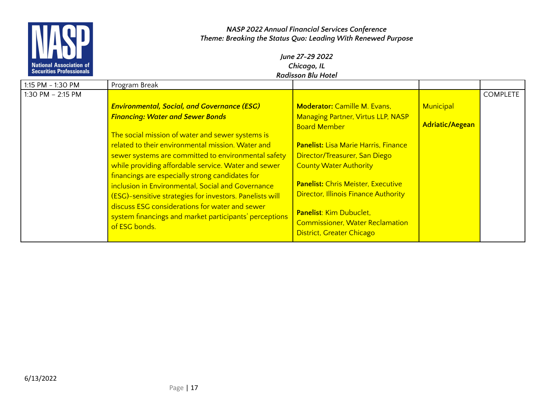

| 1:15 PM - 1:30 PM | Program Break                                                                                                                                                                                                                                                                                                                                                                                                                                                                                                                                                   |                                                                                                                                                                                                                                                                                                                                                                                 |                        |                 |
|-------------------|-----------------------------------------------------------------------------------------------------------------------------------------------------------------------------------------------------------------------------------------------------------------------------------------------------------------------------------------------------------------------------------------------------------------------------------------------------------------------------------------------------------------------------------------------------------------|---------------------------------------------------------------------------------------------------------------------------------------------------------------------------------------------------------------------------------------------------------------------------------------------------------------------------------------------------------------------------------|------------------------|-----------------|
| 1:30 PM - 2:15 PM |                                                                                                                                                                                                                                                                                                                                                                                                                                                                                                                                                                 |                                                                                                                                                                                                                                                                                                                                                                                 |                        | <b>COMPLETE</b> |
|                   | <b>Environmental, Social, and Governance (ESG)</b>                                                                                                                                                                                                                                                                                                                                                                                                                                                                                                              | <b>Moderator: Camille M. Evans,</b>                                                                                                                                                                                                                                                                                                                                             | Municipal              |                 |
|                   | <b>Financing: Water and Sewer Bonds</b><br>The social mission of water and sewer systems is<br>related to their environmental mission. Water and<br>sewer systems are committed to environmental safety<br>while providing affordable service. Water and sewer<br>financings are especially strong candidates for<br>inclusion in Environmental, Social and Governance<br>(ESG)-sensitive strategies for investors. Panelists will<br>discuss ESG considerations for water and sewer<br>system financings and market participants' perceptions<br>of ESG bonds. | <b>Managing Partner, Virtus LLP, NASP</b><br><b>Board Member</b><br><b>Panelist: Lisa Marie Harris, Finance</b><br>Director/Treasurer, San Diego<br><b>County Water Authority</b><br><b>Panelist: Chris Meister, Executive</b><br><b>Director, Illinois Finance Authority</b><br>Panelist: Kim Dubuclet,<br><b>Commissioner, Water Reclamation</b><br>District, Greater Chicago | <b>Adriatic/Aegean</b> |                 |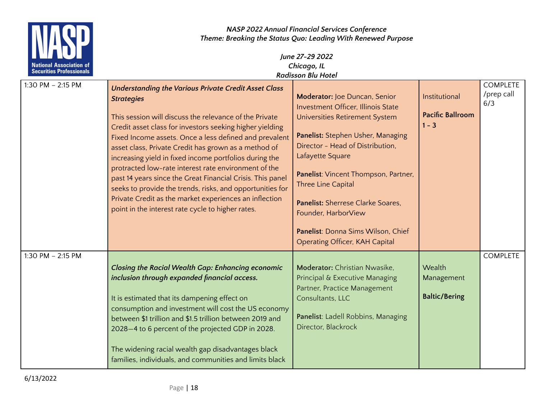

| 1:30 PM - 2:15 PM |                                                             |                                           |                         | <b>COMPLETE</b> |
|-------------------|-------------------------------------------------------------|-------------------------------------------|-------------------------|-----------------|
|                   | <b>Understanding the Various Private Credit Asset Class</b> |                                           |                         | /prep call      |
|                   | <b>Strategies</b>                                           | Moderator: Joe Duncan, Senior             | Institutional           |                 |
|                   |                                                             | <b>Investment Officer, Illinois State</b> |                         | 6/3             |
|                   | This session will discuss the relevance of the Private      | Universities Retirement System            | <b>Pacific Ballroom</b> |                 |
|                   | Credit asset class for investors seeking higher yielding    |                                           | $1 - 3$                 |                 |
|                   |                                                             | Panelist: Stephen Usher, Managing         |                         |                 |
|                   | Fixed Income assets. Once a less defined and prevalent      |                                           |                         |                 |
|                   | asset class, Private Credit has grown as a method of        | Director - Head of Distribution,          |                         |                 |
|                   | increasing yield in fixed income portfolios during the      | Lafayette Square                          |                         |                 |
|                   | protracted low-rate interest rate environment of the        |                                           |                         |                 |
|                   | past 14 years since the Great Financial Crisis. This panel  | Panelist: Vincent Thompson, Partner,      |                         |                 |
|                   | seeks to provide the trends, risks, and opportunities for   | Three Line Capital                        |                         |                 |
|                   | Private Credit as the market experiences an inflection      | Panelist: Sherrese Clarke Soares.         |                         |                 |
|                   | point in the interest rate cycle to higher rates.           |                                           |                         |                 |
|                   |                                                             | Founder, HarborView                       |                         |                 |
|                   |                                                             | Panelist: Donna Sims Wilson, Chief        |                         |                 |
|                   |                                                             |                                           |                         |                 |
|                   |                                                             | <b>Operating Officer, KAH Capital</b>     |                         |                 |
| 1:30 PM - 2:15 PM |                                                             |                                           |                         | <b>COMPLETE</b> |
|                   | <b>Closing the Racial Wealth Gap: Enhancing economic</b>    | <b>Moderator:</b> Christian Nwasike,      | Wealth                  |                 |
|                   | inclusion through expanded financial access.                | Principal & Executive Managing            | Management              |                 |
|                   |                                                             | Partner, Practice Management              |                         |                 |
|                   |                                                             | Consultants, LLC                          | <b>Baltic/Bering</b>    |                 |
|                   | It is estimated that its dampening effect on                |                                           |                         |                 |
|                   | consumption and investment will cost the US economy         |                                           |                         |                 |
|                   | between \$1 trillion and \$1.5 trillion between 2019 and    | Panelist: Ladell Robbins, Managing        |                         |                 |
|                   | 2028-4 to 6 percent of the projected GDP in 2028.           | Director, Blackrock                       |                         |                 |
|                   |                                                             |                                           |                         |                 |
|                   | The widening racial wealth gap disadvantages black          |                                           |                         |                 |
|                   |                                                             |                                           |                         |                 |
|                   | families, individuals, and communities and limits black     |                                           |                         |                 |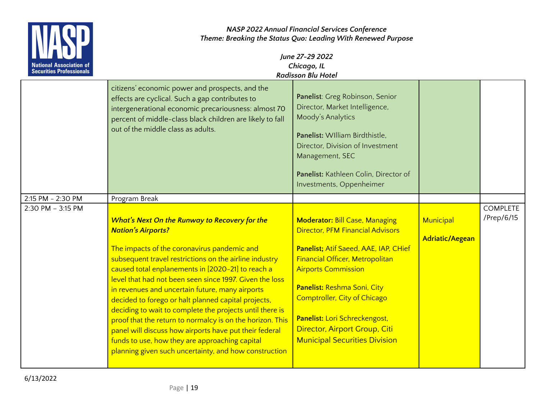

|                   | citizens' economic power and prospects, and the<br>effects are cyclical. Such a gap contributes to<br>intergenerational economic precariousness: almost 70<br>percent of middle-class black children are likely to fall<br>out of the middle class as adults.                                                                                                                                                                                                                                                                                                                                                                                                                                               | Panelist: Greg Robinson, Senior<br>Director, Market Intelligence,<br>Moody's Analytics<br>Panelist: William Birdthistle.<br>Director, Division of Investment<br>Management, SEC<br>Panelist: Kathleen Colin, Director of<br>Investments, Oppenheimer                                                                                                                |                                     |                               |
|-------------------|-------------------------------------------------------------------------------------------------------------------------------------------------------------------------------------------------------------------------------------------------------------------------------------------------------------------------------------------------------------------------------------------------------------------------------------------------------------------------------------------------------------------------------------------------------------------------------------------------------------------------------------------------------------------------------------------------------------|---------------------------------------------------------------------------------------------------------------------------------------------------------------------------------------------------------------------------------------------------------------------------------------------------------------------------------------------------------------------|-------------------------------------|-------------------------------|
| 2:15 PM - 2:30 PM | Program Break                                                                                                                                                                                                                                                                                                                                                                                                                                                                                                                                                                                                                                                                                               |                                                                                                                                                                                                                                                                                                                                                                     |                                     |                               |
| 2:30 PM - 3:15 PM | What's Next On the Runway to Recovery for the<br><b>Nation's Airports?</b><br>The impacts of the coronavirus pandemic and<br>subsequent travel restrictions on the airline industry<br>caused total enplanements in [2020-21] to reach a<br>level that had not been seen since 1997. Given the loss<br>in revenues and uncertain future, many airports<br>decided to forego or halt planned capital projects,<br>deciding to wait to complete the projects until there is<br>proof that the return to normalcy is on the horizon. This<br>panel will discuss how airports have put their federal<br>funds to use, how they are approaching capital<br>planning given such uncertainty, and how construction | <b>Moderator: Bill Case, Managing</b><br><b>Director, PFM Financial Advisors</b><br>Panelist; Atif Saeed, AAE, IAP, CHief<br>Financial Officer, Metropolitan<br><b>Airports Commission</b><br>Panelist: Reshma Soni, City<br>Comptroller, City of Chicago<br>Panelist: Lori Schreckengost,<br>Director, Airport Group, Citi<br><b>Municipal Securities Division</b> | Municipal<br><b>Adriatic/Aegean</b> | <b>COMPLETE</b><br>/Prep/6/15 |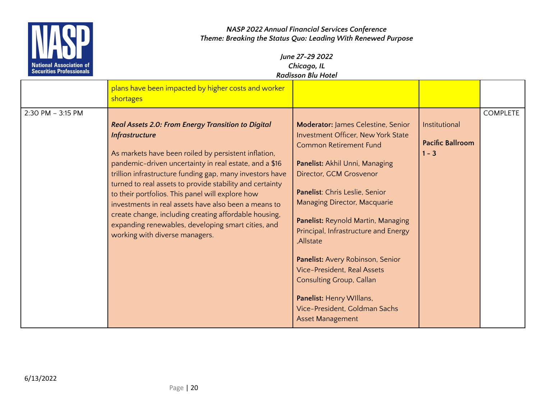

|                   | plans have been impacted by higher costs and worker<br>shortages                                                                                                                                                                                                                                                                                                                                                                                                                                                                                                                   |                                                                                                                                                                                                                                                                                                                                                                                                                                                                                                                                                        |                                                     |                 |
|-------------------|------------------------------------------------------------------------------------------------------------------------------------------------------------------------------------------------------------------------------------------------------------------------------------------------------------------------------------------------------------------------------------------------------------------------------------------------------------------------------------------------------------------------------------------------------------------------------------|--------------------------------------------------------------------------------------------------------------------------------------------------------------------------------------------------------------------------------------------------------------------------------------------------------------------------------------------------------------------------------------------------------------------------------------------------------------------------------------------------------------------------------------------------------|-----------------------------------------------------|-----------------|
| 2:30 PM - 3:15 PM | Real Assets 2.0: From Energy Transition to Digital<br><b>Infrastructure</b><br>As markets have been roiled by persistent inflation,<br>pandemic-driven uncertainty in real estate, and a \$16<br>trillion infrastructure funding gap, many investors have<br>turned to real assets to provide stability and certainty<br>to their portfolios. This panel will explore how<br>investments in real assets have also been a means to<br>create change, including creating affordable housing,<br>expanding renewables, developing smart cities, and<br>working with diverse managers. | <b>Moderator: James Celestine, Senior</b><br>Investment Officer, New York State<br><b>Common Retirement Fund</b><br>Panelist: Akhil Unni, Managing<br>Director, GCM Grosvenor<br>Panelist: Chris Leslie, Senior<br><b>Managing Director, Macquarie</b><br>Panelist: Reynold Martin, Managing<br>Principal, Infrastructure and Energy<br>,Allstate<br>Panelist: Avery Robinson, Senior<br><b>Vice-President, Real Assets</b><br><b>Consulting Group, Callan</b><br>Panelist: Henry Willans,<br>Vice-President, Goldman Sachs<br><b>Asset Management</b> | Institutional<br><b>Pacific Ballroom</b><br>$1 - 3$ | <b>COMPLETE</b> |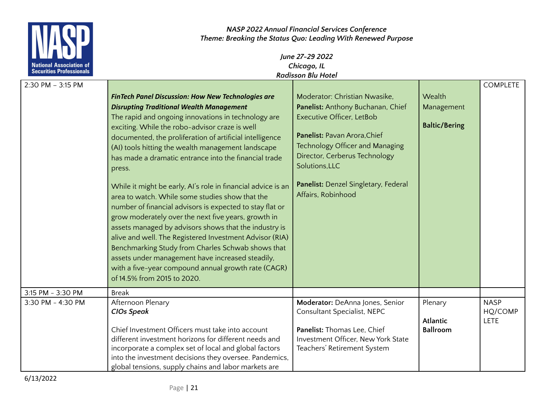

# *June 27-29 2022 Chicago, IL Radisson Blu Hotel*

| $2:30$ PM $-3:15$ PM |                                                                                                       |                                      |                                    | <b>COMPLETE</b> |
|----------------------|-------------------------------------------------------------------------------------------------------|--------------------------------------|------------------------------------|-----------------|
|                      | <b>FinTech Panel Discussion: How New Technologies are</b>                                             | Moderator: Christian Nwasike,        | Wealth                             |                 |
|                      | <b>Disrupting Traditional Wealth Management</b>                                                       | Panelist: Anthony Buchanan, Chief    | Management                         |                 |
|                      | The rapid and ongoing innovations in technology are                                                   | Executive Officer, LetBob            |                                    |                 |
|                      | exciting. While the robo-advisor craze is well                                                        |                                      | <b>Baltic/Bering</b>               |                 |
|                      | documented, the proliferation of artificial intelligence                                              | Panelist: Pavan Arora, Chief         |                                    |                 |
|                      | (AI) tools hitting the wealth management landscape                                                    | Technology Officer and Managing      |                                    |                 |
|                      | has made a dramatic entrance into the financial trade                                                 | Director, Cerberus Technology        |                                    |                 |
|                      | press.                                                                                                | Solutions, LLC                       |                                    |                 |
|                      |                                                                                                       | Panelist: Denzel Singletary, Federal |                                    |                 |
|                      | While it might be early, AI's role in financial advice is an                                          | Affairs, Robinhood                   |                                    |                 |
|                      | area to watch. While some studies show that the                                                       |                                      |                                    |                 |
|                      | number of financial advisors is expected to stay flat or                                              |                                      |                                    |                 |
|                      | grow moderately over the next five years, growth in                                                   |                                      |                                    |                 |
|                      | assets managed by advisors shows that the industry is                                                 |                                      |                                    |                 |
|                      | alive and well. The Registered Investment Advisor (RIA)                                               |                                      |                                    |                 |
|                      | Benchmarking Study from Charles Schwab shows that<br>assets under management have increased steadily, |                                      |                                    |                 |
|                      | with a five-year compound annual growth rate (CAGR)                                                   |                                      |                                    |                 |
|                      | of 14.5% from 2015 to 2020.                                                                           |                                      |                                    |                 |
|                      |                                                                                                       |                                      |                                    |                 |
| 3:15 PM - 3:30 PM    | <b>Break</b>                                                                                          |                                      |                                    |                 |
| 3:30 PM - 4:30 PM    | Afternoon Plenary                                                                                     | Moderator: DeAnna Jones, Senior      | Plenary                            | <b>NASP</b>     |
|                      | <b>CIOs Speak</b>                                                                                     | Consultant Specialist, NEPC          |                                    | HQ/COMP         |
|                      | Chief Investment Officers must take into account                                                      | Panelist: Thomas Lee, Chief          | <b>Atlantic</b><br><b>Ballroom</b> | <b>LETE</b>     |
|                      | different investment horizons for different needs and                                                 | Investment Officer, New York State   |                                    |                 |
|                      | incorporate a complex set of local and global factors                                                 | Teachers' Retirement System          |                                    |                 |
|                      | into the investment decisions they oversee. Pandemics,                                                |                                      |                                    |                 |
|                      | global tensions, supply chains and labor markets are                                                  |                                      |                                    |                 |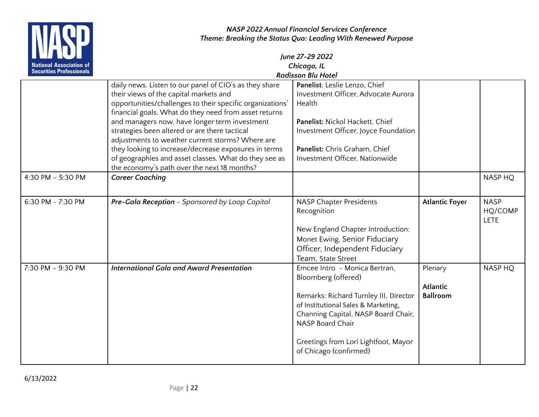

| <b>TELEVISION</b>               |                                                                                                                                                                                                                        | June 27-29 2022                                                                                                                                                                                                                                                           |                                               |                                |
|---------------------------------|------------------------------------------------------------------------------------------------------------------------------------------------------------------------------------------------------------------------|---------------------------------------------------------------------------------------------------------------------------------------------------------------------------------------------------------------------------------------------------------------------------|-----------------------------------------------|--------------------------------|
| <b>National Association of</b>  |                                                                                                                                                                                                                        | Chicago, IL                                                                                                                                                                                                                                                               |                                               |                                |
| <b>Securities Professionals</b> |                                                                                                                                                                                                                        | <b>Radisson Blu Hotel</b>                                                                                                                                                                                                                                                 |                                               |                                |
|                                 | daily news. Listen to our panel of CIO's as they share<br>their views of the capital markets and<br>opportunities/challenges to their specific organizations'<br>financial goals. What do they need from asset returns | Panelist: Leslie Lenzo, Chief<br>Investment Officer, Advocate Aurora<br>Health                                                                                                                                                                                            |                                               |                                |
|                                 | and managers now, have longer term investment<br>strategies been altered or are there tactical<br>adjustments to weather current storms? Where are                                                                     | Panelist: Nickol Hackett, Chief<br>Investment Officer, Joyce Foundation                                                                                                                                                                                                   |                                               |                                |
|                                 | they looking to increase/decrease exposures in terms<br>of geographies and asset classes. What do they see as<br>the economy's path over the next 18 months?                                                           | Panelist: Chris Graham, Chief<br>Investment Officer, Nationwide                                                                                                                                                                                                           |                                               |                                |
| 4:30 PM - 5:30 PM               | <b>Career Coaching</b>                                                                                                                                                                                                 |                                                                                                                                                                                                                                                                           |                                               | <b>NASP HO</b>                 |
| 6:30 PM - 7:30 PM               | Pre-Gala Reception - Sponsored by Loop Capital                                                                                                                                                                         | <b>NASP Chapter Presidents</b><br>Recognition<br>New England Chapter Introduction:<br>Monet Ewing, Senior Fiduciary<br>Officer, Independent Fiduciary<br>Team, State Street                                                                                               | <b>Atlantic Foyer</b>                         | <b>NASP</b><br>HQ/COMP<br>LETE |
| 7:30 PM - 9:30 PM               | <b>International Gala and Award Presentation</b>                                                                                                                                                                       | Emcee Intro - Monica Bertran,<br>Bloomberg (offered)<br>Remarks: Richard Turnley III, Director<br>of Institutional Sales & Marketing,<br>Channing Capital, NASP Board Chair,<br><b>NASP Board Chair</b><br>Greetings from Lori Lightfoot, Mayor<br>of Chicago (confirmed) | Plenary<br><b>Atlantic</b><br><b>Ballroom</b> | <b>NASP HQ</b>                 |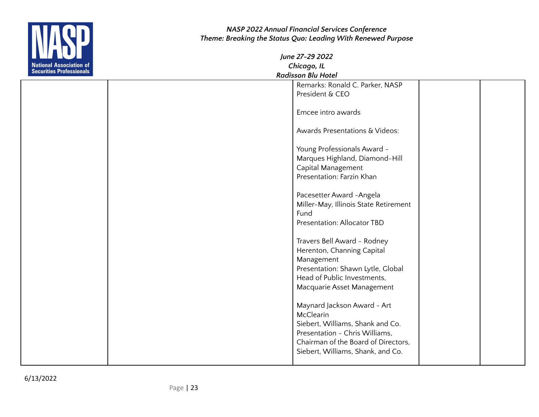

|  | וסוטו ו שוט ווטככושטו                 |  |
|--|---------------------------------------|--|
|  | Remarks: Ronald C. Parker, NASP       |  |
|  | President & CEO                       |  |
|  |                                       |  |
|  | Emcee intro awards                    |  |
|  |                                       |  |
|  | Awards Presentations & Videos:        |  |
|  |                                       |  |
|  | Young Professionals Award -           |  |
|  | Marques Highland, Diamond-Hill        |  |
|  | Capital Management                    |  |
|  | Presentation: Farzin Khan             |  |
|  |                                       |  |
|  | Pacesetter Award - Angela             |  |
|  | Miller-May, Illinois State Retirement |  |
|  | Fund                                  |  |
|  | Presentation: Allocator TBD           |  |
|  |                                       |  |
|  | Travers Bell Award - Rodney           |  |
|  | Herenton, Channing Capital            |  |
|  | Management                            |  |
|  | Presentation: Shawn Lytle, Global     |  |
|  | Head of Public Investments,           |  |
|  | Macquarie Asset Management            |  |
|  |                                       |  |
|  | Maynard Jackson Award - Art           |  |
|  | McClearin                             |  |
|  | Siebert, Williams, Shank and Co.      |  |
|  | Presentation - Chris Williams,        |  |
|  | Chairman of the Board of Directors,   |  |
|  | Siebert, Williams, Shank, and Co.     |  |
|  |                                       |  |
|  |                                       |  |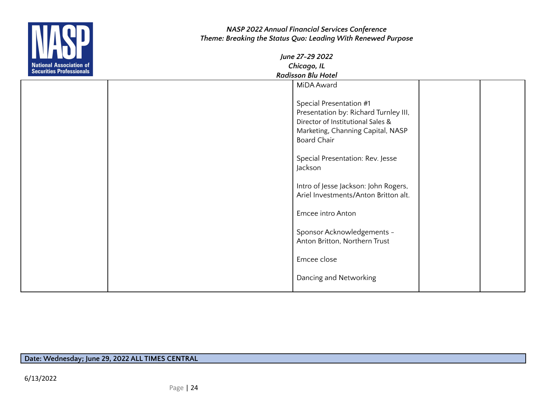

| June 27-29 2022           |  |  |
|---------------------------|--|--|
| Chicago, IL               |  |  |
| <b>Radisson Blu Hotel</b> |  |  |

|  | MiDA Award                                                                                                                                                       |  |
|--|------------------------------------------------------------------------------------------------------------------------------------------------------------------|--|
|  |                                                                                                                                                                  |  |
|  | Special Presentation #1<br>Presentation by: Richard Turnley III,<br>Director of Institutional Sales &<br>Marketing, Channing Capital, NASP<br><b>Board Chair</b> |  |
|  | Special Presentation: Rev. Jesse<br>Jackson                                                                                                                      |  |
|  | Intro of Jesse Jackson: John Rogers,<br>Ariel Investments/Anton Britton alt.                                                                                     |  |
|  | Emcee intro Anton                                                                                                                                                |  |
|  | Sponsor Acknowledgements -<br>Anton Britton, Northern Trust                                                                                                      |  |
|  | Emcee close                                                                                                                                                      |  |
|  | Dancing and Networking                                                                                                                                           |  |

**Date: Wednesday; June 29, 2022 ALL TIMES CENTRAL**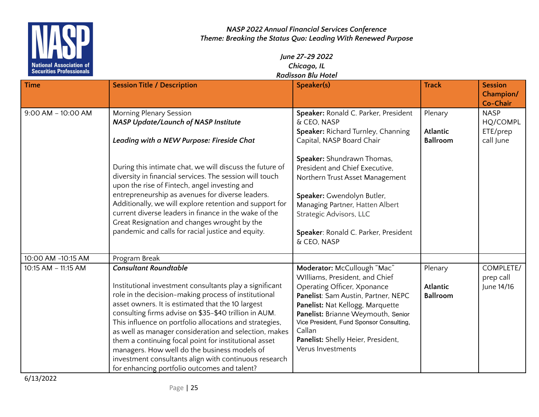

## *June 27-29 2022 Chicago, IL Radisson Blu Hotel*

| <b>Time</b>            | <b>Session Title / Description</b>                                                                                                                                                                                                                                                                                                                                                                                                                                                                                                                                                                  | Speaker(s)                                                                                                                                                                                                                                                                                                                     | <b>Track</b>                                  | <b>Session</b><br><b>Champion/</b><br>Co-Chair   |
|------------------------|-----------------------------------------------------------------------------------------------------------------------------------------------------------------------------------------------------------------------------------------------------------------------------------------------------------------------------------------------------------------------------------------------------------------------------------------------------------------------------------------------------------------------------------------------------------------------------------------------------|--------------------------------------------------------------------------------------------------------------------------------------------------------------------------------------------------------------------------------------------------------------------------------------------------------------------------------|-----------------------------------------------|--------------------------------------------------|
| $9:00$ AM $-$ 10:00 AM | <b>Morning Plenary Session</b><br><b>NASP Update/Launch of NASP Institute</b><br>Leading with a NEW Purpose: Fireside Chat                                                                                                                                                                                                                                                                                                                                                                                                                                                                          | Speaker: Ronald C. Parker, President<br>& CEO, NASP<br>Speaker: Richard Turnley, Channing<br>Capital, NASP Board Chair                                                                                                                                                                                                         | Plenary<br><b>Atlantic</b><br><b>Ballroom</b> | <b>NASP</b><br>HQ/COMPL<br>ETE/prep<br>call June |
|                        | During this intimate chat, we will discuss the future of<br>diversity in financial services. The session will touch<br>upon the rise of Fintech, angel investing and<br>entrepreneurship as avenues for diverse leaders.<br>Additionally, we will explore retention and support for<br>current diverse leaders in finance in the wake of the<br>Great Resignation and changes wrought by the<br>pandemic and calls for racial justice and equity.                                                                                                                                                   | Speaker: Shundrawn Thomas,<br>President and Chief Executive,<br>Northern Trust Asset Management<br>Speaker: Gwendolyn Butler,<br>Managing Partner, Hatten Albert<br>Strategic Advisors, LLC<br>Speaker: Ronald C. Parker, President<br>& CEO, NASP                                                                             |                                               |                                                  |
| 10:00 AM -10:15 AM     | Program Break                                                                                                                                                                                                                                                                                                                                                                                                                                                                                                                                                                                       |                                                                                                                                                                                                                                                                                                                                |                                               |                                                  |
| 10:15 AM - 11:15 AM    | <b>Consultant Roundtable</b><br>Institutional investment consultants play a significant<br>role in the decision-making process of institutional<br>asset owners. It is estimated that the 10 largest<br>consulting firms advise on \$35-\$40 trillion in AUM.<br>This influence on portfolio allocations and strategies,<br>as well as manager consideration and selection, makes<br>them a continuing focal point for institutional asset<br>managers. How well do the business models of<br>investment consultants align with continuous research<br>for enhancing portfolio outcomes and talent? | Moderator: McCullough "Mac"<br>Williams, President, and Chief<br>Operating Officer, Xponance<br>Panelist: Sam Austin, Partner, NEPC<br>Panelist: Nat Kellogg, Marquette<br>Panelist: Brianne Weymouth, Senior<br>Vice President, Fund Sponsor Consulting,<br>Callan<br>Panelist: Shelly Heier, President,<br>Verus Investments | Plenary<br><b>Atlantic</b><br><b>Ballroom</b> | COMPLETE/<br>prep call<br>June 14/16             |